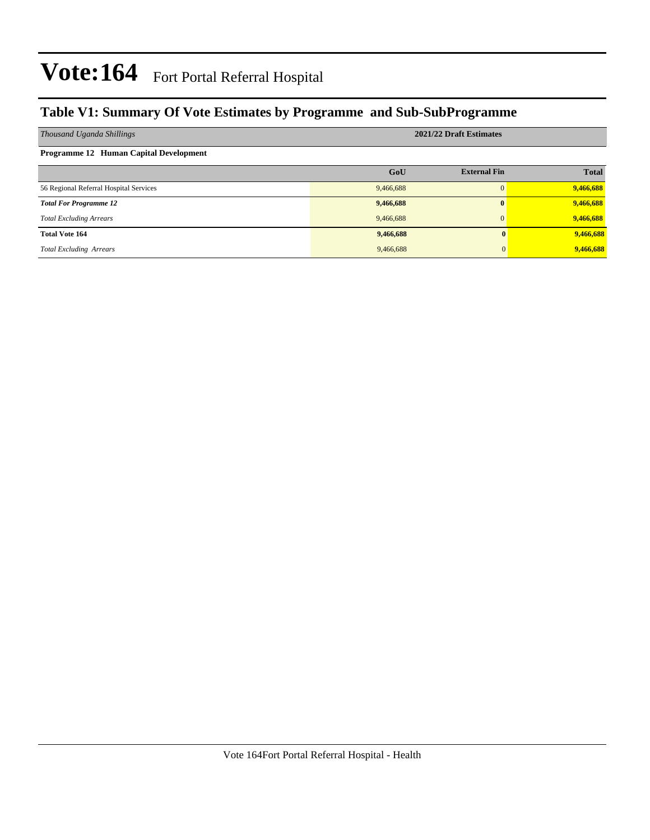#### **Table V1: Summary Of Vote Estimates by Programme and Sub-SubProgramme**

| Thousand Uganda Shillings              | 2021/22 Draft Estimates |                     |              |  |  |  |  |  |
|----------------------------------------|-------------------------|---------------------|--------------|--|--|--|--|--|
| Programme 12 Human Capital Development |                         |                     |              |  |  |  |  |  |
|                                        | GoU                     | <b>External Fin</b> | <b>Total</b> |  |  |  |  |  |
| 56 Regional Referral Hospital Services | 9,466,688               | $\Omega$            | 9,466,688    |  |  |  |  |  |
| <b>Total For Programme 12</b>          | 9,466,688               | $\mathbf{0}$        | 9,466,688    |  |  |  |  |  |
| <b>Total Excluding Arrears</b>         | 9,466,688               | $\Omega$            | 9,466,688    |  |  |  |  |  |
| <b>Total Vote 164</b>                  | 9,466,688               |                     | 9,466,688    |  |  |  |  |  |
| <b>Total Excluding Arrears</b>         | 9,466,688               |                     | 9,466,688    |  |  |  |  |  |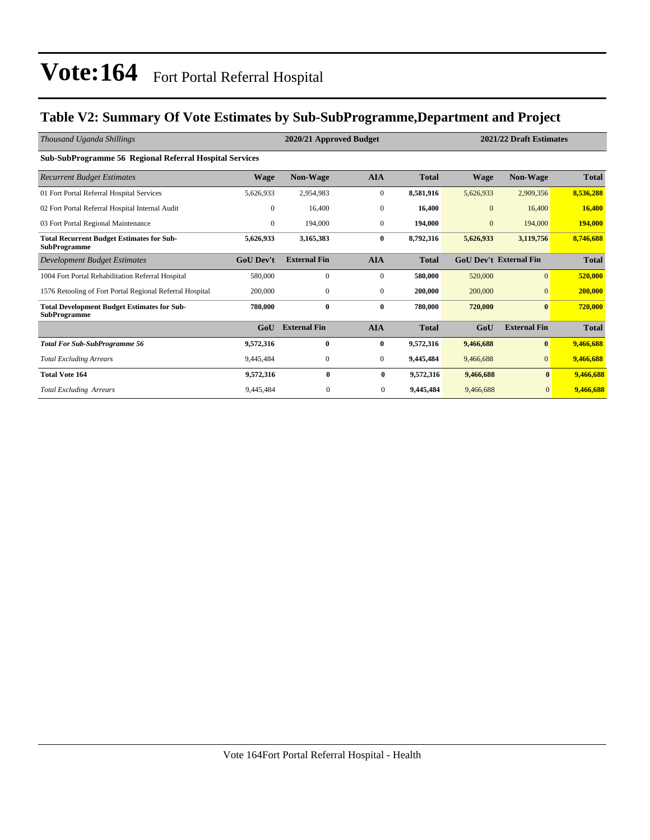#### **Table V2: Summary Of Vote Estimates by Sub-SubProgramme,Department and Project**

| Thousand Uganda Shillings                                                 |                  | 2020/21 Approved Budget |                  |              | 2021/22 Draft Estimates |                               |              |
|---------------------------------------------------------------------------|------------------|-------------------------|------------------|--------------|-------------------------|-------------------------------|--------------|
| Sub-SubProgramme 56 Regional Referral Hospital Services                   |                  |                         |                  |              |                         |                               |              |
| <b>Recurrent Budget Estimates</b>                                         | Wage             | <b>Non-Wage</b>         | <b>AIA</b>       | <b>Total</b> | Wage                    | <b>Non-Wage</b>               | <b>Total</b> |
| 01 Fort Portal Referral Hospital Services                                 | 5,626,933        | 2,954,983               | $\boldsymbol{0}$ | 8,581,916    | 5,626,933               | 2,909,356                     | 8,536,288    |
| 02 Fort Portal Referral Hospital Internal Audit                           | $\mathbf{0}$     | 16,400                  | $\mathbf{0}$     | 16,400       | $\mathbf{0}$            | 16,400                        | 16,400       |
| 03 Fort Portal Regional Maintenance                                       | $\mathbf{0}$     | 194,000                 | $\mathbf{0}$     | 194,000      | $\mathbf{0}$            | 194,000                       | 194,000      |
| <b>Total Recurrent Budget Estimates for Sub-</b><br><b>SubProgramme</b>   | 5,626,933        | 3,165,383               | $\bf{0}$         | 8,792,316    | 5,626,933               | 3,119,756                     | 8,746,688    |
| Development Budget Estimates                                              | <b>GoU Dev't</b> | <b>External Fin</b>     | <b>AIA</b>       | <b>Total</b> |                         | <b>GoU Dev't External Fin</b> | <b>Total</b> |
| 1004 Fort Portal Rehabilitation Referral Hospital                         | 580,000          | $\mathbf{0}$            | $\mathbf{0}$     | 580,000      | 520,000                 | $\overline{0}$                | 520,000      |
| 1576 Retooling of Fort Portal Regional Referral Hospital                  | 200,000          | $\mathbf{0}$            | $\mathbf{0}$     | 200,000      | 200,000                 | $\overline{0}$                | 200,000      |
| <b>Total Development Budget Estimates for Sub-</b><br><b>SubProgramme</b> | 780,000          | 0                       | $\bf{0}$         | 780,000      | 720,000                 | $\bf{0}$                      | 720,000      |
|                                                                           | GoU              | <b>External Fin</b>     | <b>AIA</b>       | <b>Total</b> | GoU                     | <b>External Fin</b>           | <b>Total</b> |
| <b>Total For Sub-SubProgramme 56</b>                                      | 9,572,316        | $\bf{0}$                | $\bf{0}$         | 9,572,316    | 9,466,688               | $\bf{0}$                      | 9,466,688    |
| <b>Total Excluding Arrears</b>                                            | 9,445,484        | $\mathbf{0}$            | $\mathbf{0}$     | 9,445,484    | 9,466,688               | $\overline{0}$                | 9,466,688    |
| <b>Total Vote 164</b>                                                     | 9,572,316        | $\bf{0}$                | $\bf{0}$         | 9,572,316    | 9,466,688               | $\bf{0}$                      | 9,466,688    |
| <b>Total Excluding Arrears</b>                                            | 9.445.484        | $\mathbf{0}$            | $\overline{0}$   | 9,445,484    | 9,466,688               | $\overline{0}$                | 9,466,688    |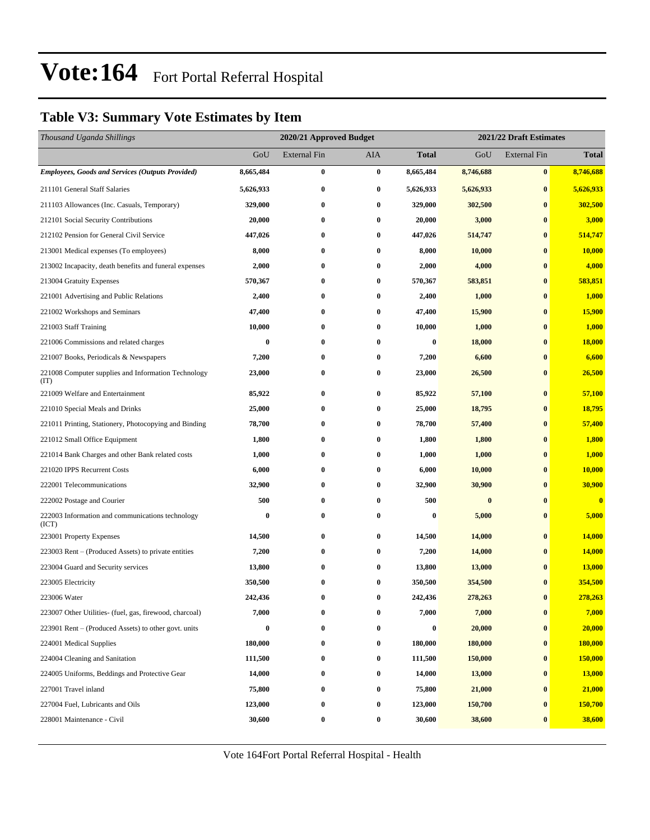#### **Table V3: Summary Vote Estimates by Item**

| Thousand Uganda Shillings                                   |           | 2020/21 Approved Budget |            |                  | 2021/22 Draft Estimates |                     |              |  |  |
|-------------------------------------------------------------|-----------|-------------------------|------------|------------------|-------------------------|---------------------|--------------|--|--|
|                                                             | GoU       | <b>External Fin</b>     | <b>AIA</b> | <b>Total</b>     | GoU                     | <b>External Fin</b> | <b>Total</b> |  |  |
| <b>Employees, Goods and Services (Outputs Provided)</b>     | 8,665,484 | $\bf{0}$                | $\bf{0}$   | 8,665,484        | 8,746,688               | $\bf{0}$            | 8,746,688    |  |  |
| 211101 General Staff Salaries                               | 5,626,933 | $\bf{0}$                | 0          | 5,626,933        | 5,626,933               | $\bf{0}$            | 5,626,933    |  |  |
| 211103 Allowances (Inc. Casuals, Temporary)                 | 329,000   | $\bf{0}$                | $\bf{0}$   | 329,000          | 302,500                 | $\bf{0}$            | 302,500      |  |  |
| 212101 Social Security Contributions                        | 20,000    | $\bf{0}$                | 0          | 20,000           | 3,000                   | $\bf{0}$            | 3,000        |  |  |
| 212102 Pension for General Civil Service                    | 447,026   | $\bf{0}$                | 0          | 447,026          | 514,747                 | $\bf{0}$            | 514,747      |  |  |
| 213001 Medical expenses (To employees)                      | 8,000     | $\bf{0}$                | 0          | 8,000            | 10,000                  | $\bf{0}$            | 10,000       |  |  |
| 213002 Incapacity, death benefits and funeral expenses      | 2,000     | $\bf{0}$                | 0          | 2,000            | 4,000                   | $\bf{0}$            | 4,000        |  |  |
| 213004 Gratuity Expenses                                    | 570,367   | $\bf{0}$                | $\bf{0}$   | 570,367          | 583,851                 | $\bf{0}$            | 583,851      |  |  |
| 221001 Advertising and Public Relations                     | 2,400     | $\bf{0}$                | 0          | 2,400            | 1,000                   | $\bf{0}$            | 1,000        |  |  |
| 221002 Workshops and Seminars                               | 47,400    | $\bf{0}$                | 0          | 47,400           | 15,900                  | $\bf{0}$            | 15,900       |  |  |
| 221003 Staff Training                                       | 10,000    | $\bf{0}$                | 0          | 10,000           | 1,000                   | $\bf{0}$            | 1,000        |  |  |
| 221006 Commissions and related charges                      | $\bf{0}$  | $\bf{0}$                | 0          | $\bf{0}$         | 18,000                  | $\bf{0}$            | 18,000       |  |  |
| 221007 Books, Periodicals & Newspapers                      | 7,200     | $\bf{0}$                | 0          | 7,200            | 6,600                   | $\bf{0}$            | 6,600        |  |  |
| 221008 Computer supplies and Information Technology<br>(TT) | 23,000    | $\bf{0}$                | 0          | 23,000           | 26,500                  | $\bf{0}$            | 26,500       |  |  |
| 221009 Welfare and Entertainment                            | 85,922    | $\bf{0}$                | 0          | 85,922           | 57,100                  | $\bf{0}$            | 57,100       |  |  |
| 221010 Special Meals and Drinks                             | 25,000    | $\bf{0}$                | $\bf{0}$   | 25,000           | 18,795                  | $\bf{0}$            | 18,795       |  |  |
| 221011 Printing, Stationery, Photocopying and Binding       | 78,700    | $\bf{0}$                | 0          | 78,700           | 57,400                  | $\bf{0}$            | 57,400       |  |  |
| 221012 Small Office Equipment                               | 1,800     | $\bf{0}$                | 0          | 1,800            | 1,800                   | $\bf{0}$            | 1,800        |  |  |
| 221014 Bank Charges and other Bank related costs            | 1,000     | $\bf{0}$                | 0          | 1,000            | 1,000                   | $\bf{0}$            | 1,000        |  |  |
| 221020 IPPS Recurrent Costs                                 | 6,000     | $\bf{0}$                | 0          | 6,000            | 10,000                  | $\bf{0}$            | 10,000       |  |  |
| 222001 Telecommunications                                   | 32,900    | $\bf{0}$                | $\bf{0}$   | 32,900           | 30,900                  | $\bf{0}$            | 30,900       |  |  |
| 222002 Postage and Courier                                  | 500       | $\bf{0}$                | 0          | 500              | $\bf{0}$                | $\bf{0}$            | $\bf{0}$     |  |  |
| 222003 Information and communications technology<br>(ICT)   | $\bf{0}$  | $\bf{0}$                | 0          | $\bf{0}$         | 5,000                   | $\bf{0}$            | 5,000        |  |  |
| 223001 Property Expenses                                    | 14,500    | $\bf{0}$                | 0          | 14,500           | 14,000                  | $\bf{0}$            | 14,000       |  |  |
| 223003 Rent - (Produced Assets) to private entities         | 7,200     | $\bf{0}$                | 0          | 7,200            | 14,000                  | $\bf{0}$            | 14,000       |  |  |
| 223004 Guard and Security services                          | 13,800    | $\bf{0}$                | 0          | 13,800           | 13,000                  | $\bf{0}$            | 13,000       |  |  |
| 223005 Electricity                                          | 350,500   | $\bf{0}$                | 0          | 350,500          | 354,500                 | $\bf{0}$            | 354,500      |  |  |
| 223006 Water                                                | 242,436   | $\bf{0}$                | 0          | 242,436          | 278,263                 | $\bf{0}$            | 278,263      |  |  |
| 223007 Other Utilities- (fuel, gas, firewood, charcoal)     | 7,000     | $\bf{0}$                | 0          | 7,000            | 7,000                   | $\bf{0}$            | 7,000        |  |  |
| 223901 Rent – (Produced Assets) to other govt. units        | $\bf{0}$  | $\bf{0}$                | 0          | $\boldsymbol{0}$ | 20,000                  | $\bf{0}$            | 20,000       |  |  |
| 224001 Medical Supplies                                     | 180,000   | $\boldsymbol{0}$        | $\bf{0}$   | 180,000          | 180,000                 | $\bf{0}$            | 180,000      |  |  |
| 224004 Cleaning and Sanitation                              | 111,500   | $\bf{0}$                | $\bf{0}$   | 111,500          | 150,000                 | $\bf{0}$            | 150,000      |  |  |
| 224005 Uniforms, Beddings and Protective Gear               | 14,000    | $\bf{0}$                | 0          | 14,000           | 13,000                  | $\bf{0}$            | 13,000       |  |  |
| 227001 Travel inland                                        | 75,800    | $\bf{0}$                | 0          | 75,800           | 21,000                  | $\bf{0}$            | 21,000       |  |  |
| 227004 Fuel, Lubricants and Oils                            | 123,000   | $\bf{0}$                | 0          | 123,000          | 150,700                 | $\bf{0}$            | 150,700      |  |  |
| 228001 Maintenance - Civil                                  | 30,600    | $\bf{0}$                | 0          | 30,600           | 38,600                  | $\bf{0}$            | 38,600       |  |  |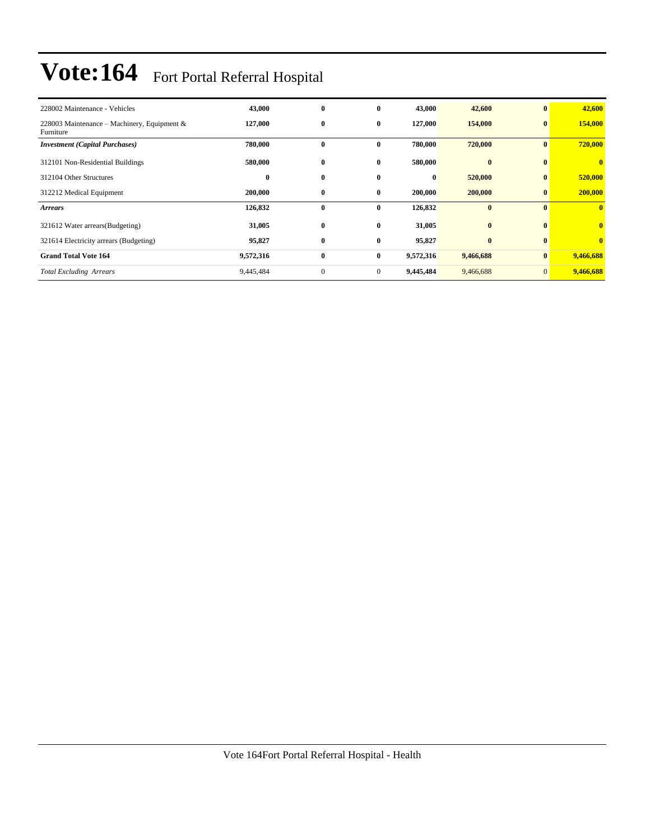| 228002 Maintenance - Vehicles                            | 43,000    | $\bf{0}$     | 0            | 43,000    | 42,600       | $\mathbf{0}$   | 42,600                  |
|----------------------------------------------------------|-----------|--------------|--------------|-----------|--------------|----------------|-------------------------|
| 228003 Maintenance – Machinery, Equipment &<br>Furniture | 127,000   | $\bf{0}$     | $\bf{0}$     | 127,000   | 154,000      | $\mathbf{0}$   | 154,000                 |
| <b>Investment</b> (Capital Purchases)                    | 780,000   | $\bf{0}$     | $\bf{0}$     | 780,000   | 720,000      | $\bf{0}$       | 720,000                 |
| 312101 Non-Residential Buildings                         | 580,000   | $\bf{0}$     | 0            | 580,000   | $\mathbf{0}$ | $\mathbf{0}$   | $\mathbf{0}$            |
| 312104 Other Structures                                  | $\bf{0}$  | $\bf{0}$     | $\bf{0}$     | $\bf{0}$  | 520,000      | $\bf{0}$       | 520,000                 |
| 312212 Medical Equipment                                 | 200,000   | $\bf{0}$     | $\bf{0}$     | 200,000   | 200,000      | $\bf{0}$       | 200,000                 |
| <b>Arrears</b>                                           | 126,832   | $\bf{0}$     | $\mathbf{0}$ | 126,832   | $\bf{0}$     | $\mathbf{0}$   | $\mathbf{0}$            |
| 321612 Water arrears (Budgeting)                         | 31,005    | $\bf{0}$     | $\bf{0}$     | 31,005    | $\bf{0}$     | $\mathbf{0}$   | $\overline{\mathbf{0}}$ |
| 321614 Electricity arrears (Budgeting)                   | 95,827    | $\bf{0}$     | $\bf{0}$     | 95,827    | $\bf{0}$     | $\bf{0}$       | $\overline{\mathbf{0}}$ |
| <b>Grand Total Vote 164</b>                              | 9,572,316 | $\bf{0}$     | $\bf{0}$     | 9,572,316 | 9,466,688    | $\bf{0}$       | 9,466,688               |
| <b>Total Excluding Arrears</b>                           | 9,445,484 | $\mathbf{0}$ | $\mathbf{0}$ | 9,445,484 | 9,466,688    | $\overline{0}$ | 9,466,688               |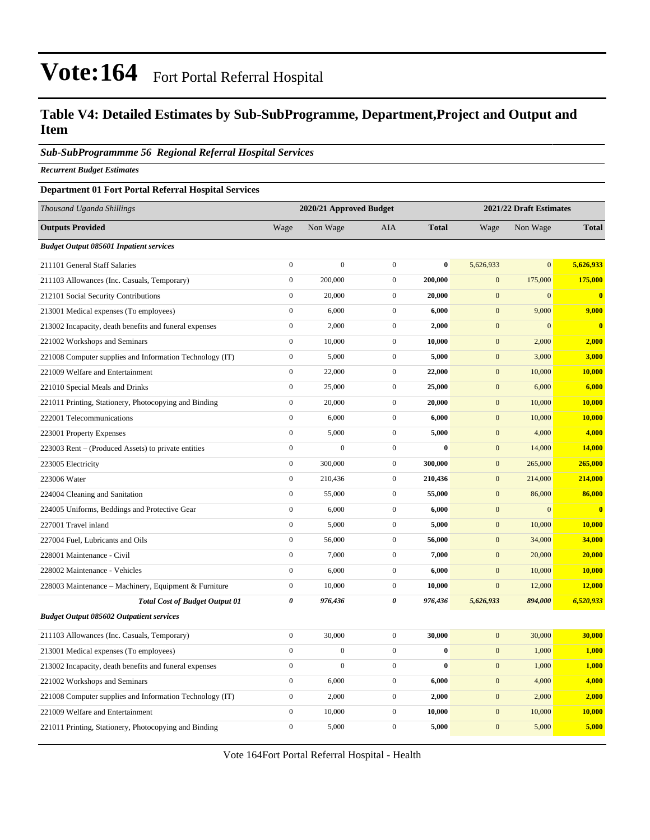#### **Table V4: Detailed Estimates by Sub-SubProgramme, Department,Project and Output and Item**

#### *Sub-SubProgrammme 56 Regional Referral Hospital Services*

*Recurrent Budget Estimates*

#### **Department 01 Fort Portal Referral Hospital Services**

| <b>Outputs Provided</b><br>Wage<br>Non Wage<br><b>AIA</b><br><b>Total</b><br>Non Wage<br>Wage<br><b>Budget Output 085601 Inpatient services</b>           | <b>Total</b>  |
|-----------------------------------------------------------------------------------------------------------------------------------------------------------|---------------|
|                                                                                                                                                           |               |
|                                                                                                                                                           |               |
| $\boldsymbol{0}$<br>$\boldsymbol{0}$<br>$\boldsymbol{0}$<br>$\bf{0}$<br>$\overline{0}$<br>5,626,933<br>211101 General Staff Salaries<br>5,626,933         |               |
| $\boldsymbol{0}$<br>200,000<br>$\mathbf{0}$<br>200,000<br>$\mathbf{0}$<br>175,000<br>211103 Allowances (Inc. Casuals, Temporary)                          | 175,000       |
| $\boldsymbol{0}$<br>20,000<br>$\mathbf{0}$<br>20,000<br>$\mathbf{0}$<br>$\overline{0}$<br>212101 Social Security Contributions                            | $\mathbf{0}$  |
| $\boldsymbol{0}$<br>6,000<br>$\mathbf{0}$<br>9,000<br>6,000<br>$\mathbf{0}$<br>213001 Medical expenses (To employees)                                     | 9,000         |
| $\boldsymbol{0}$<br>2,000<br>$\mathbf{0}$<br>$\mathbf{0}$<br>$\overline{0}$<br>213002 Incapacity, death benefits and funeral expenses<br>2,000            | $\bf{0}$      |
| $\boldsymbol{0}$<br>10,000<br>$\boldsymbol{0}$<br>10,000<br>2,000<br>221002 Workshops and Seminars<br>$\boldsymbol{0}$                                    | 2,000         |
| $\boldsymbol{0}$<br>5,000<br>$\mathbf{0}$<br>5,000<br>$\mathbf{0}$<br>3,000<br>221008 Computer supplies and Information Technology (IT)                   | 3,000         |
| $\boldsymbol{0}$<br>$\boldsymbol{0}$<br>22,000<br>22,000<br>$\boldsymbol{0}$<br>10,000<br>221009 Welfare and Entertainment                                | <b>10,000</b> |
| $\boldsymbol{0}$<br>$\mathbf{0}$<br>$\mathbf{0}$<br>25,000<br>25,000<br>6,000<br>221010 Special Meals and Drinks                                          | 6,000         |
| $\boldsymbol{0}$<br>20,000<br>$\boldsymbol{0}$<br>10,000<br>221011 Printing, Stationery, Photocopying and Binding<br>20,000<br>$\boldsymbol{0}$           | 10,000        |
| $\mathbf{0}$<br>6,000<br>$\mathbf{0}$<br>6,000<br>$\boldsymbol{0}$<br>10,000<br>222001 Telecommunications                                                 | 10,000        |
| $\boldsymbol{0}$<br>5,000<br>$\mathbf{0}$<br>5,000<br>$\mathbf{0}$<br>4,000<br>223001 Property Expenses                                                   | 4,000         |
| $\boldsymbol{0}$<br>$\boldsymbol{0}$<br>$\boldsymbol{0}$<br>$\boldsymbol{0}$<br>14,000<br>$\bf{0}$<br>223003 Rent – (Produced Assets) to private entities | 14,000        |
| $\boldsymbol{0}$<br>$\mathbf{0}$<br>300,000<br>300,000<br>$\mathbf{0}$<br>265,000<br>223005 Electricity                                                   | 265,000       |
| $\boldsymbol{0}$<br>210,436<br>$\boldsymbol{0}$<br>210,436<br>$\boldsymbol{0}$<br>214,000<br>223006 Water                                                 | 214,000       |
| $\mathbf{0}$<br>$\boldsymbol{0}$<br>$\boldsymbol{0}$<br>55,000<br>55,000<br>86,000<br>224004 Cleaning and Sanitation                                      | 86,000        |
| $\boldsymbol{0}$<br>6,000<br>$\boldsymbol{0}$<br>6,000<br>$\boldsymbol{0}$<br>$\overline{0}$<br>224005 Uniforms, Beddings and Protective Gear             | $\bf{0}$      |
| $\boldsymbol{0}$<br>5,000<br>$\boldsymbol{0}$<br>5,000<br>$\boldsymbol{0}$<br>10,000<br>227001 Travel inland                                              | 10,000        |
| $\boldsymbol{0}$<br>56,000<br>$\mathbf{0}$<br>56,000<br>$\mathbf{0}$<br>34,000<br>227004 Fuel, Lubricants and Oils                                        | 34,000        |
| $\boldsymbol{0}$<br>7,000<br>$\mathbf{0}$<br>7,000<br>$\mathbf{0}$<br>20,000<br>228001 Maintenance - Civil                                                | 20,000        |
| $\boldsymbol{0}$<br>6,000<br>228002 Maintenance - Vehicles<br>$\boldsymbol{0}$<br>6,000<br>$\boldsymbol{0}$<br>10,000                                     | <b>10,000</b> |
| $\boldsymbol{0}$<br>10,000<br>$\mathbf{0}$<br>10,000<br>$\mathbf{0}$<br>12,000<br>228003 Maintenance – Machinery, Equipment & Furniture                   | 12,000        |
| $\boldsymbol{\theta}$<br>976,436<br>976,436<br>0<br>5,626,933<br>894,000<br><b>Total Cost of Budget Output 01</b>                                         | 6,520,933     |
| <b>Budget Output 085602 Outpatient services</b>                                                                                                           |               |
| 30,000<br>$\boldsymbol{0}$<br>30,000<br>$\boldsymbol{0}$<br>30,000<br>$\mathbf{0}$<br>211103 Allowances (Inc. Casuals, Temporary)                         | 30,000        |
| $\mathbf{0}$<br>$\mathbf{0}$<br>$\boldsymbol{0}$<br>$\bf{0}$<br>$\boldsymbol{0}$<br>1,000<br>213001 Medical expenses (To employees)                       | 1,000         |
| $\boldsymbol{0}$<br>$\boldsymbol{0}$<br>$\mathbf 0$<br>$\bf{0}$<br>$\mathbf{0}$<br>1,000<br>213002 Incapacity, death benefits and funeral expenses        | 1,000         |
| $\boldsymbol{0}$<br>6,000<br>$\boldsymbol{0}$<br>6,000<br>221002 Workshops and Seminars<br>$\boldsymbol{0}$<br>4,000                                      | 4,000         |
| $\boldsymbol{0}$<br>2,000<br>$\mathbf{0}$<br>2,000<br>$\mathbf{0}$<br>2,000<br>221008 Computer supplies and Information Technology (IT)                   | 2,000         |
| $\boldsymbol{0}$<br>10,000<br>$\boldsymbol{0}$<br>10,000<br>10,000<br>221009 Welfare and Entertainment<br>$\boldsymbol{0}$                                | 10,000        |
| $\mathbf{0}$<br>5,000<br>$\overline{0}$<br>5,000<br>$\boldsymbol{0}$<br>5,000<br>221011 Printing, Stationery, Photocopying and Binding                    | 5,000         |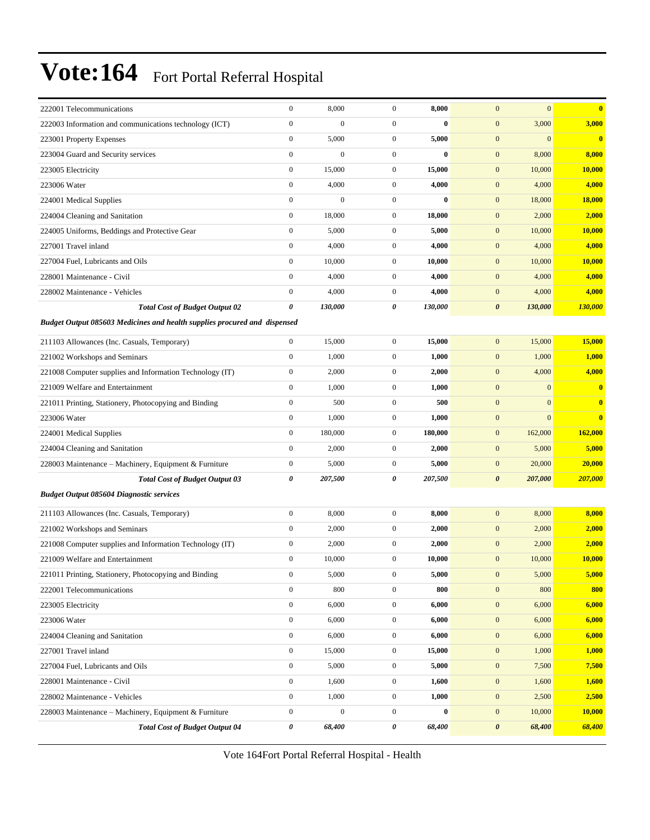| 222001 Telecommunications                                                                    | $\boldsymbol{0}$                     | 8,000            | $\boldsymbol{0}$                     | 8,000        | $\mathbf{0}$<br>$\mathbf{0}$                     | $\mathbf{0}$   |  |  |  |  |
|----------------------------------------------------------------------------------------------|--------------------------------------|------------------|--------------------------------------|--------------|--------------------------------------------------|----------------|--|--|--|--|
| 222003 Information and communications technology (ICT)                                       | $\boldsymbol{0}$                     | $\boldsymbol{0}$ | $\boldsymbol{0}$                     | $\bf{0}$     | 3,000<br>$\boldsymbol{0}$                        | 3,000          |  |  |  |  |
| 223001 Property Expenses                                                                     | $\boldsymbol{0}$                     | 5,000            | $\boldsymbol{0}$                     | 5,000        | $\mathbf{0}$<br>$\mathbf{0}$                     | $\mathbf{0}$   |  |  |  |  |
| 223004 Guard and Security services                                                           | $\boldsymbol{0}$                     | $\boldsymbol{0}$ | $\boldsymbol{0}$                     | $\bf{0}$     | $\boldsymbol{0}$<br>8,000                        | 8,000          |  |  |  |  |
| 223005 Electricity                                                                           | $\boldsymbol{0}$                     | 15,000           | $\mathbf{0}$                         | 15,000       | $\mathbf{0}$<br>10,000                           | 10,000         |  |  |  |  |
| 223006 Water                                                                                 | $\boldsymbol{0}$                     | 4,000            | $\boldsymbol{0}$                     | 4,000        | $\mathbf{0}$<br>4,000                            | 4,000          |  |  |  |  |
| 224001 Medical Supplies                                                                      | $\boldsymbol{0}$                     | $\boldsymbol{0}$ | $\mathbf{0}$                         | $\bf{0}$     | $\boldsymbol{0}$<br>18,000                       | 18,000         |  |  |  |  |
| 224004 Cleaning and Sanitation                                                               | $\boldsymbol{0}$                     | 18,000           | $\boldsymbol{0}$                     | 18,000       | $\mathbf{0}$<br>2,000                            | 2,000          |  |  |  |  |
| 224005 Uniforms, Beddings and Protective Gear                                                | $\boldsymbol{0}$                     | 5,000            | $\boldsymbol{0}$                     | 5,000        | $\boldsymbol{0}$<br>10,000                       | 10,000         |  |  |  |  |
| 227001 Travel inland                                                                         | $\boldsymbol{0}$                     | 4,000            | $\boldsymbol{0}$                     | 4,000        | $\mathbf{0}$<br>4,000                            | 4,000          |  |  |  |  |
| 227004 Fuel, Lubricants and Oils                                                             | $\boldsymbol{0}$                     | 10,000           | $\boldsymbol{0}$                     | 10,000       | $\mathbf{0}$<br>10,000                           | 10,000         |  |  |  |  |
| 228001 Maintenance - Civil                                                                   | $\boldsymbol{0}$                     | 4,000            | $\mathbf{0}$                         | 4,000        | $\boldsymbol{0}$<br>4,000                        | 4,000          |  |  |  |  |
| 228002 Maintenance - Vehicles                                                                | $\boldsymbol{0}$                     | 4,000            | $\mathbf{0}$                         | 4,000        | $\mathbf{0}$<br>4,000                            | 4,000          |  |  |  |  |
| <b>Total Cost of Budget Output 02</b>                                                        | 0                                    | 130,000          | 0                                    | 130,000      | $\boldsymbol{\theta}$<br>130,000                 | 130,000        |  |  |  |  |
| Budget Output 085603 Medicines and health supplies procured and dispensed                    |                                      |                  |                                      |              |                                                  |                |  |  |  |  |
| 211103 Allowances (Inc. Casuals, Temporary)                                                  | $\boldsymbol{0}$                     | 15,000           | $\boldsymbol{0}$                     | 15,000       | 15,000<br>$\mathbf{0}$                           | 15,000         |  |  |  |  |
| 221002 Workshops and Seminars                                                                | $\boldsymbol{0}$                     | 1,000            | $\boldsymbol{0}$                     | 1,000        | $\mathbf{0}$<br>1,000                            | 1,000          |  |  |  |  |
| 221008 Computer supplies and Information Technology (IT)                                     | $\boldsymbol{0}$                     | 2,000            | $\mathbf{0}$                         | 2,000        | $\mathbf{0}$<br>4,000                            | 4,000          |  |  |  |  |
| 221009 Welfare and Entertainment                                                             | $\boldsymbol{0}$                     | 1,000            | $\mathbf{0}$                         | 1,000        | $\mathbf{0}$<br>$\mathbf{0}$                     | $\overline{0}$ |  |  |  |  |
| 221011 Printing, Stationery, Photocopying and Binding                                        | $\boldsymbol{0}$                     | 500              | $\boldsymbol{0}$                     | 500          | $\boldsymbol{0}$<br>$\mathbf{0}$                 | $\bf{0}$       |  |  |  |  |
| 223006 Water                                                                                 | $\boldsymbol{0}$                     | 1,000            | $\boldsymbol{0}$                     | 1,000        | $\mathbf{0}$<br>$\mathbf{0}$                     | $\overline{0}$ |  |  |  |  |
| 224001 Medical Supplies                                                                      | $\boldsymbol{0}$                     | 180,000          | $\boldsymbol{0}$                     | 180,000      | $\mathbf{0}$<br>162,000                          | 162,000        |  |  |  |  |
| 224004 Cleaning and Sanitation                                                               | $\boldsymbol{0}$                     | 2,000            | $\boldsymbol{0}$                     | 2,000        | $\mathbf{0}$<br>5,000                            | 5,000          |  |  |  |  |
| 228003 Maintenance - Machinery, Equipment & Furniture                                        | $\boldsymbol{0}$                     | 5,000            | $\boldsymbol{0}$                     | 5,000        | $\mathbf{0}$<br>20,000                           | 20,000         |  |  |  |  |
| <b>Total Cost of Budget Output 03</b>                                                        | 0                                    | 207,500          | 0                                    | 207,500      | $\boldsymbol{\theta}$<br>207,000                 | 207,000        |  |  |  |  |
| <b>Budget Output 085604 Diagnostic services</b>                                              |                                      |                  |                                      |              |                                                  |                |  |  |  |  |
| 211103 Allowances (Inc. Casuals, Temporary)                                                  | $\boldsymbol{0}$                     | 8,000            | $\boldsymbol{0}$                     | 8,000        | $\mathbf{0}$<br>8,000                            | 8,000          |  |  |  |  |
| 221002 Workshops and Seminars                                                                | $\boldsymbol{0}$                     | 2,000            | $\boldsymbol{0}$                     | 2,000        | $\mathbf{0}$<br>2,000                            | 2,000          |  |  |  |  |
|                                                                                              | $\boldsymbol{0}$                     | 2,000            | $\mathbf{0}$                         | 2,000        | $\mathbf{0}$<br>2,000                            | 2,000          |  |  |  |  |
| 221008 Computer supplies and Information Technology (IT)<br>221009 Welfare and Entertainment | $\boldsymbol{0}$                     | 10,000           | $\boldsymbol{0}$                     | 10,000       | $\mathbf{0}$<br>10,000                           | 10,000         |  |  |  |  |
|                                                                                              | $\boldsymbol{0}$                     | 5,000            | $\mathbf{0}$                         | 5,000        | 5,000<br>$\mathbf{0}$                            | 5,000          |  |  |  |  |
| 221011 Printing, Stationery, Photocopying and Binding                                        |                                      |                  |                                      |              |                                                  | 800            |  |  |  |  |
| 222001 Telecommunications<br>223005 Electricity                                              | $\boldsymbol{0}$<br>$\boldsymbol{0}$ | 800<br>6,000     | $\boldsymbol{0}$<br>$\boldsymbol{0}$ | 800<br>6,000 | $\boldsymbol{0}$<br>800<br>$\mathbf{0}$<br>6,000 | 6,000          |  |  |  |  |
| 223006 Water                                                                                 | $\boldsymbol{0}$                     | 6,000            |                                      |              |                                                  | 6,000          |  |  |  |  |
|                                                                                              | $\boldsymbol{0}$                     |                  | $\boldsymbol{0}$<br>$\mathbf{0}$     | 6,000        | $\boldsymbol{0}$<br>6,000                        | 6,000          |  |  |  |  |
| 224004 Cleaning and Sanitation                                                               | $\boldsymbol{0}$                     | 6,000            | $\boldsymbol{0}$                     | 6,000        | $\boldsymbol{0}$<br>6,000                        |                |  |  |  |  |
| 227001 Travel inland                                                                         |                                      | 15,000           |                                      | 15,000       | $\boldsymbol{0}$<br>1,000                        | 1,000          |  |  |  |  |
| 227004 Fuel, Lubricants and Oils                                                             | $\boldsymbol{0}$                     | 5,000            | $\boldsymbol{0}$                     | 5,000        | $\boldsymbol{0}$<br>7,500                        | 7,500          |  |  |  |  |
| 228001 Maintenance - Civil                                                                   | $\boldsymbol{0}$                     | 1,600            | $\boldsymbol{0}$                     | 1,600        | $\boldsymbol{0}$<br>1,600                        | 1,600          |  |  |  |  |
| 228002 Maintenance - Vehicles                                                                | $\boldsymbol{0}$                     | 1,000            | $\boldsymbol{0}$                     | 1,000        | $\boldsymbol{0}$<br>2,500                        | 2,500          |  |  |  |  |
| 228003 Maintenance - Machinery, Equipment & Furniture                                        | $\boldsymbol{0}$                     | $\boldsymbol{0}$ | $\mathbf{0}$                         | $\bf{0}$     | $\mathbf{0}$<br>10,000                           | 10,000         |  |  |  |  |
| <b>Total Cost of Budget Output 04</b>                                                        | 0                                    | 68,400           | 0                                    | 68,400       | $\pmb{\theta}$<br>68,400                         | 68,400         |  |  |  |  |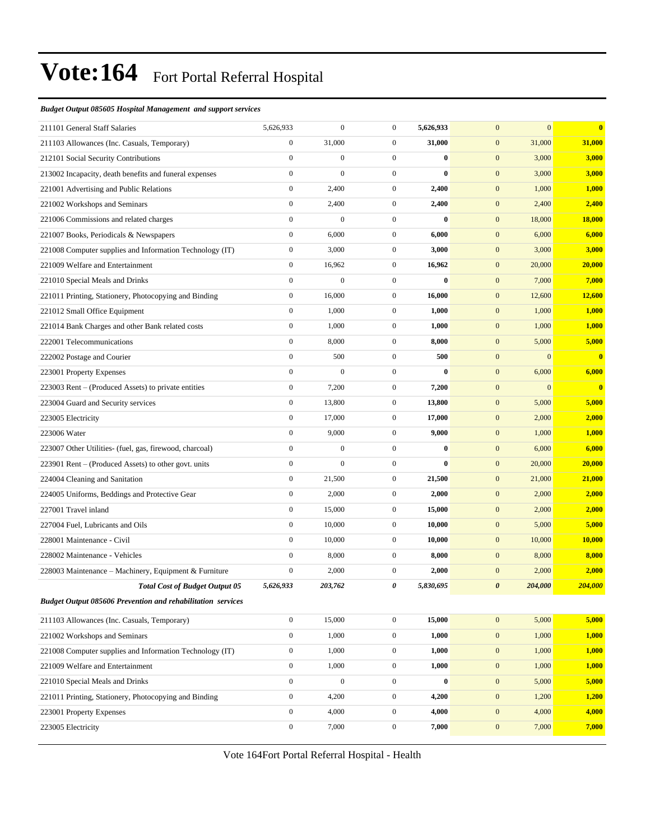#### *Budget Output 085605 Hospital Management and support services*

| 211101 General Staff Salaries                               | 5,626,933        | $\boldsymbol{0}$ | $\mathbf{0}$     | 5,626,933 | $\overline{0}$        | $\mathbf{0}$ | $\bf{0}$     |
|-------------------------------------------------------------|------------------|------------------|------------------|-----------|-----------------------|--------------|--------------|
| 211103 Allowances (Inc. Casuals, Temporary)                 | $\boldsymbol{0}$ | 31,000           | $\mathbf{0}$     | 31,000    | $\boldsymbol{0}$      | 31,000       | 31,000       |
| 212101 Social Security Contributions                        | $\boldsymbol{0}$ | $\boldsymbol{0}$ | $\mathbf{0}$     | $\bf{0}$  | $\mathbf{0}$          | 3,000        | 3,000        |
| 213002 Incapacity, death benefits and funeral expenses      | $\boldsymbol{0}$ | $\mathbf{0}$     | $\boldsymbol{0}$ | $\bf{0}$  | $\mathbf{0}$          | 3,000        | 3,000        |
| 221001 Advertising and Public Relations                     | $\boldsymbol{0}$ | 2,400            | $\boldsymbol{0}$ | 2,400     | $\boldsymbol{0}$      | 1,000        | 1,000        |
| 221002 Workshops and Seminars                               | $\boldsymbol{0}$ | 2,400            | $\mathbf{0}$     | 2,400     | $\boldsymbol{0}$      | 2,400        | 2,400        |
| 221006 Commissions and related charges                      | $\boldsymbol{0}$ | $\boldsymbol{0}$ | $\mathbf{0}$     | $\bf{0}$  | $\mathbf{0}$          | 18,000       | 18,000       |
| 221007 Books, Periodicals & Newspapers                      | $\boldsymbol{0}$ | 6,000            | $\mathbf{0}$     | 6,000     | $\mathbf{0}$          | 6,000        | 6,000        |
| 221008 Computer supplies and Information Technology (IT)    | $\boldsymbol{0}$ | 3,000            | $\boldsymbol{0}$ | 3,000     | $\boldsymbol{0}$      | 3,000        | 3,000        |
| 221009 Welfare and Entertainment                            | $\boldsymbol{0}$ | 16,962           | $\mathbf{0}$     | 16,962    | $\boldsymbol{0}$      | 20,000       | 20,000       |
| 221010 Special Meals and Drinks                             | $\boldsymbol{0}$ | $\mathbf{0}$     | $\boldsymbol{0}$ | $\bf{0}$  | $\boldsymbol{0}$      | 7,000        | 7,000        |
| 221011 Printing, Stationery, Photocopying and Binding       | $\boldsymbol{0}$ | 16,000           | $\mathbf{0}$     | 16,000    | $\boldsymbol{0}$      | 12,600       | 12,600       |
| 221012 Small Office Equipment                               | $\boldsymbol{0}$ | 1,000            | $\mathbf{0}$     | 1,000     | $\mathbf{0}$          | 1,000        | 1,000        |
| 221014 Bank Charges and other Bank related costs            | $\boldsymbol{0}$ | 1,000            | $\boldsymbol{0}$ | 1,000     | $\boldsymbol{0}$      | 1,000        | 1,000        |
| 222001 Telecommunications                                   | $\boldsymbol{0}$ | 8,000            | $\boldsymbol{0}$ | 8,000     | $\boldsymbol{0}$      | 5,000        | 5,000        |
| 222002 Postage and Courier                                  | $\boldsymbol{0}$ | 500              | $\boldsymbol{0}$ | 500       | $\mathbf{0}$          | $\mathbf{0}$ | $\mathbf{0}$ |
| 223001 Property Expenses                                    | $\boldsymbol{0}$ | $\boldsymbol{0}$ | $\mathbf{0}$     | $\bf{0}$  | $\mathbf{0}$          | 6,000        | 6,000        |
| 223003 Rent – (Produced Assets) to private entities         | $\boldsymbol{0}$ | 7,200            | $\mathbf{0}$     | 7,200     | $\boldsymbol{0}$      | $\mathbf{0}$ | $\bf{0}$     |
| 223004 Guard and Security services                          | $\boldsymbol{0}$ | 13,800           | $\mathbf{0}$     | 13,800    | $\mathbf{0}$          | 5,000        | 5,000        |
| 223005 Electricity                                          | $\boldsymbol{0}$ | 17,000           | $\mathbf{0}$     | 17,000    | $\boldsymbol{0}$      | 2,000        | 2,000        |
| 223006 Water                                                | $\boldsymbol{0}$ | 9,000            | $\mathbf{0}$     | 9,000     | $\boldsymbol{0}$      | 1,000        | 1,000        |
| 223007 Other Utilities- (fuel, gas, firewood, charcoal)     | $\boldsymbol{0}$ | $\boldsymbol{0}$ | $\mathbf{0}$     | $\bf{0}$  | $\mathbf{0}$          | 6,000        | 6,000        |
| 223901 Rent – (Produced Assets) to other govt. units        | $\boldsymbol{0}$ | $\boldsymbol{0}$ | $\mathbf{0}$     | $\bf{0}$  | $\mathbf{0}$          | 20,000       | 20,000       |
| 224004 Cleaning and Sanitation                              | $\boldsymbol{0}$ | 21,500           | $\mathbf{0}$     | 21,500    | $\boldsymbol{0}$      | 21,000       | 21,000       |
| 224005 Uniforms, Beddings and Protective Gear               | $\boldsymbol{0}$ | 2,000            | $\mathbf{0}$     | 2,000     | $\boldsymbol{0}$      | 2,000        | 2,000        |
| 227001 Travel inland                                        | $\boldsymbol{0}$ | 15,000           | $\mathbf{0}$     | 15,000    | $\boldsymbol{0}$      | 2,000        | 2,000        |
| 227004 Fuel, Lubricants and Oils                            | $\boldsymbol{0}$ | 10,000           | $\mathbf{0}$     | 10,000    | $\mathbf{0}$          | 5,000        | 5,000        |
| 228001 Maintenance - Civil                                  | $\boldsymbol{0}$ | 10,000           | $\mathbf{0}$     | 10,000    | $\mathbf{0}$          | 10,000       | 10,000       |
| 228002 Maintenance - Vehicles                               | $\boldsymbol{0}$ | 8,000            | $\boldsymbol{0}$ | 8,000     | $\boldsymbol{0}$      | 8,000        | 8,000        |
| 228003 Maintenance - Machinery, Equipment & Furniture       | $\boldsymbol{0}$ | 2,000            | $\mathbf{0}$     | 2,000     | $\boldsymbol{0}$      | 2,000        | 2,000        |
| <b>Total Cost of Budget Output 05</b>                       | 5,626,933        | 203,762          | 0                | 5,830,695 | $\boldsymbol{\theta}$ | 204,000      | 204,000      |
| Budget Output 085606 Prevention and rehabilitation services |                  |                  |                  |           |                       |              |              |
| 211103 Allowances (Inc. Casuals, Temporary)                 | $\boldsymbol{0}$ | 15,000           | $\boldsymbol{0}$ | 15,000    | $\boldsymbol{0}$      | 5,000        | 5,000        |
| 221002 Workshops and Seminars                               | $\boldsymbol{0}$ | 1,000            | $\boldsymbol{0}$ | 1,000     | $\boldsymbol{0}$      | 1,000        | 1,000        |
| 221008 Computer supplies and Information Technology (IT)    | $\boldsymbol{0}$ | 1,000            | $\boldsymbol{0}$ | 1,000     | $\boldsymbol{0}$      | 1,000        | 1,000        |
| 221009 Welfare and Entertainment                            | $\boldsymbol{0}$ | 1,000            | $\boldsymbol{0}$ | 1,000     | $\boldsymbol{0}$      | 1,000        | 1,000        |
| 221010 Special Meals and Drinks                             | $\boldsymbol{0}$ | $\boldsymbol{0}$ | $\mathbf{0}$     | $\bf{0}$  | $\mathbf{0}$          | 5,000        | 5,000        |
| 221011 Printing, Stationery, Photocopying and Binding       | $\boldsymbol{0}$ | 4,200            | $\boldsymbol{0}$ | 4,200     | $\boldsymbol{0}$      | 1,200        | 1,200        |
| 223001 Property Expenses                                    | $\boldsymbol{0}$ | 4,000            | $\boldsymbol{0}$ | 4,000     | $\mathbf{0}$          | 4,000        | 4,000        |
| 223005 Electricity                                          | $\boldsymbol{0}$ | 7,000            | $\mathbf{0}$     | 7,000     | $\boldsymbol{0}$      | 7,000        | 7,000        |
|                                                             |                  |                  |                  |           |                       |              |              |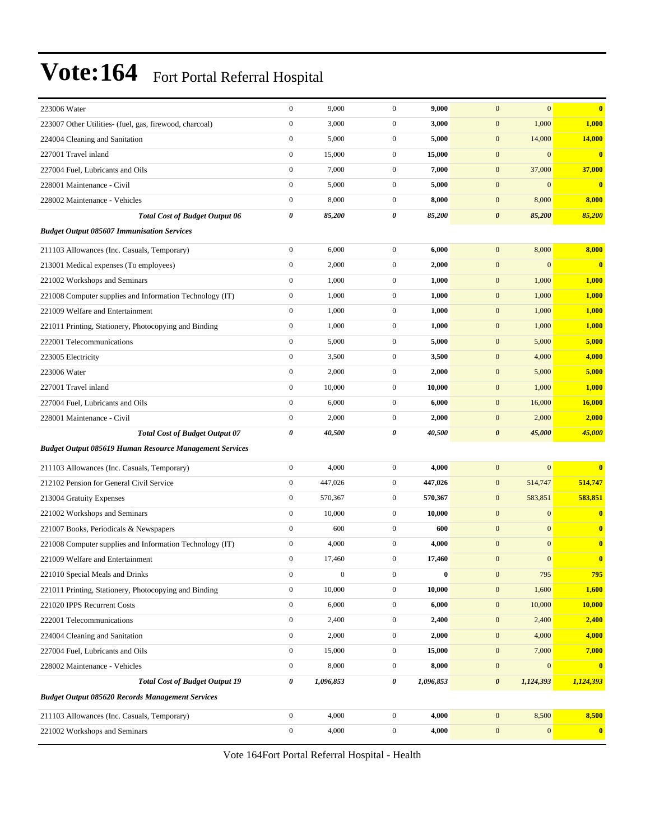| 223006 Water                                                   | $\boldsymbol{0}$ | 9,000     | $\mathbf{0}$     | 9,000     | $\overline{0}$<br>$\mathbf{0}$       | $\bf{0}$                |
|----------------------------------------------------------------|------------------|-----------|------------------|-----------|--------------------------------------|-------------------------|
| 223007 Other Utilities- (fuel, gas, firewood, charcoal)        | $\boldsymbol{0}$ | 3,000     | $\mathbf{0}$     | 3,000     | $\mathbf{0}$<br>1,000                | 1,000                   |
| 224004 Cleaning and Sanitation                                 | $\boldsymbol{0}$ | 5,000     | $\mathbf{0}$     | 5,000     | $\mathbf{0}$<br>14,000               | 14,000                  |
| 227001 Travel inland                                           | $\boldsymbol{0}$ | 15,000    | $\mathbf{0}$     | 15,000    | $\mathbf{0}$<br>$\overline{0}$       | $\overline{\mathbf{0}}$ |
| 227004 Fuel, Lubricants and Oils                               | $\boldsymbol{0}$ | 7,000     | $\mathbf{0}$     | 7,000     | 37,000<br>$\mathbf{0}$               | 37,000                  |
| 228001 Maintenance - Civil                                     | $\boldsymbol{0}$ | 5,000     | $\mathbf{0}$     | 5,000     | $\boldsymbol{0}$<br>$\boldsymbol{0}$ | $\bf{0}$                |
| 228002 Maintenance - Vehicles                                  | $\boldsymbol{0}$ | 8,000     | $\mathbf{0}$     | 8,000     | 8,000<br>$\mathbf{0}$                | 8,000                   |
| <b>Total Cost of Budget Output 06</b>                          | 0                | 85,200    | 0                | 85,200    | $\boldsymbol{\theta}$<br>85,200      | 85,200                  |
| <b>Budget Output 085607 Immunisation Services</b>              |                  |           |                  |           |                                      |                         |
| 211103 Allowances (Inc. Casuals, Temporary)                    | $\boldsymbol{0}$ | 6,000     | $\mathbf{0}$     | 6,000     | $\mathbf{0}$<br>8,000                | 8,000                   |
| 213001 Medical expenses (To employees)                         | $\boldsymbol{0}$ | 2,000     | $\mathbf{0}$     | 2,000     | $\mathbf{0}$<br>$\boldsymbol{0}$     | $\bf{0}$                |
| 221002 Workshops and Seminars                                  | $\boldsymbol{0}$ | 1,000     | $\mathbf{0}$     | 1,000     | $\boldsymbol{0}$<br>1,000            | 1,000                   |
| 221008 Computer supplies and Information Technology (IT)       | $\boldsymbol{0}$ | 1,000     | $\mathbf{0}$     | 1,000     | $\mathbf{0}$<br>1,000                | 1,000                   |
| 221009 Welfare and Entertainment                               | $\boldsymbol{0}$ | 1,000     | $\mathbf{0}$     | 1,000     | $\mathbf{0}$<br>1,000                | 1,000                   |
| 221011 Printing, Stationery, Photocopying and Binding          | $\boldsymbol{0}$ | 1,000     | $\mathbf{0}$     | 1,000     | $\boldsymbol{0}$<br>1,000            | 1,000                   |
| 222001 Telecommunications                                      | $\boldsymbol{0}$ | 5,000     | $\mathbf{0}$     | 5,000     | $\mathbf{0}$<br>5,000                | 5,000                   |
| 223005 Electricity                                             | $\boldsymbol{0}$ | 3,500     | $\mathbf{0}$     | 3,500     | $\mathbf{0}$<br>4,000                | 4,000                   |
| 223006 Water                                                   | $\boldsymbol{0}$ | 2,000     | $\mathbf{0}$     | 2,000     | $\mathbf{0}$<br>5,000                | 5,000                   |
| 227001 Travel inland                                           | $\boldsymbol{0}$ | 10,000    | $\mathbf{0}$     | 10,000    | $\mathbf{0}$<br>1,000                | 1,000                   |
| 227004 Fuel, Lubricants and Oils                               | $\boldsymbol{0}$ | 6,000     | $\mathbf{0}$     | 6,000     | $\boldsymbol{0}$<br>16,000           | 16,000                  |
| 228001 Maintenance - Civil                                     | $\boldsymbol{0}$ | 2,000     | $\mathbf{0}$     | 2,000     | $\mathbf{0}$<br>2,000                | 2,000                   |
| <b>Total Cost of Budget Output 07</b>                          | 0                | 40,500    | 0                | 40,500    | 45,000<br>0                          | 45,000                  |
| <b>Budget Output 085619 Human Resource Management Services</b> |                  |           |                  |           |                                      |                         |
| 211103 Allowances (Inc. Casuals, Temporary)                    | $\boldsymbol{0}$ | 4,000     | $\mathbf{0}$     | 4,000     | $\mathbf{0}$<br>$\mathbf{0}$         | $\bf{0}$                |
| 212102 Pension for General Civil Service                       | $\boldsymbol{0}$ | 447,026   | $\mathbf{0}$     | 447,026   | $\mathbf{0}$<br>514,747              | 514,747                 |
| 213004 Gratuity Expenses                                       | $\mathbf{0}$     | 570,367   | $\mathbf{0}$     | 570,367   | 583,851<br>$\mathbf{0}$              | 583,851                 |
| 221002 Workshops and Seminars                                  | $\boldsymbol{0}$ | 10,000    | $\mathbf{0}$     | 10,000    | $\mathbf{0}$<br>$\mathbf{0}$         | $\bf{0}$                |
| 221007 Books, Periodicals & Newspapers                         | $\boldsymbol{0}$ | 600       | $\mathbf{0}$     | 600       | $\boldsymbol{0}$<br>$\overline{0}$   | $\bf{0}$                |
| 221008 Computer supplies and Information Technology (IT)       | $\boldsymbol{0}$ | 4,000     | $\mathbf{0}$     | 4,000     | $\mathbf{0}$<br>$\overline{0}$       | $\bf{0}$                |
| 221009 Welfare and Entertainment                               | $\boldsymbol{0}$ | 17,460    | $\mathbf{0}$     | 17,460    | $\mathbf{0}$<br>$\overline{0}$       | $\bf{0}$                |
| 221010 Special Meals and Drinks                                | 0                | $\bf{0}$  | $\theta$         | $\bf{0}$  | $\bf{0}$<br>795                      | <u>795</u>              |
| 221011 Printing, Stationery, Photocopying and Binding          | $\boldsymbol{0}$ | 10,000    | $\mathbf{0}$     | 10,000    | $\boldsymbol{0}$<br>1,600            | 1,600                   |
| 221020 IPPS Recurrent Costs                                    | $\boldsymbol{0}$ | 6,000     | $\boldsymbol{0}$ | 6,000     | $\boldsymbol{0}$<br>10,000           | <b>10,000</b>           |
| 222001 Telecommunications                                      | $\boldsymbol{0}$ | 2,400     | $\boldsymbol{0}$ | 2,400     | $\boldsymbol{0}$<br>2,400            | 2,400                   |
| 224004 Cleaning and Sanitation                                 | $\boldsymbol{0}$ | 2,000     | $\boldsymbol{0}$ | 2,000     | $\boldsymbol{0}$<br>4,000            | 4,000                   |
| 227004 Fuel, Lubricants and Oils                               | $\boldsymbol{0}$ | 15,000    | $\boldsymbol{0}$ | 15,000    | 7,000<br>$\boldsymbol{0}$            | 7,000                   |
| 228002 Maintenance - Vehicles                                  | $\boldsymbol{0}$ | 8,000     | $\boldsymbol{0}$ | 8,000     | $\boldsymbol{0}$<br>$\boldsymbol{0}$ | $\bf{0}$                |
| <b>Total Cost of Budget Output 19</b>                          | 0                | 1,096,853 | 0                | 1,096,853 | $\boldsymbol{\theta}$<br>1,124,393   | 1,124,393               |
| <b>Budget Output 085620 Records Management Services</b>        |                  |           |                  |           |                                      |                         |
| 211103 Allowances (Inc. Casuals, Temporary)                    | $\boldsymbol{0}$ | 4,000     | $\boldsymbol{0}$ | 4,000     | $\mathbf{0}$<br>8,500                | 8,500                   |
| 221002 Workshops and Seminars                                  | $\boldsymbol{0}$ | 4,000     | $\boldsymbol{0}$ | 4,000     | $\boldsymbol{0}$<br>$\boldsymbol{0}$ | $\bullet$               |
|                                                                |                  |           |                  |           |                                      |                         |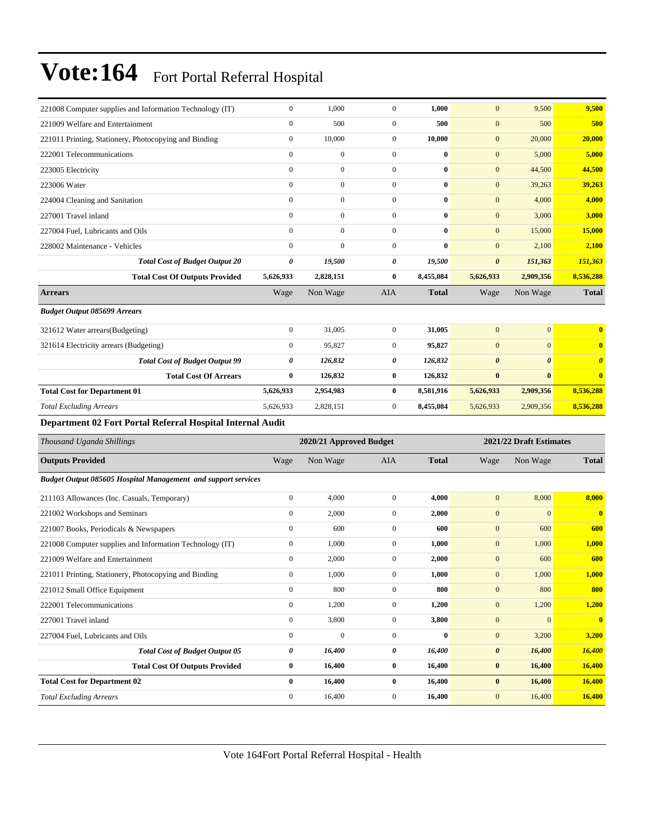| 221008 Computer supplies and Information Technology (IT)             | $\boldsymbol{0}$                                   | 1,000            | $\mathbf{0}$     | 1,000        | $\mathbf{0}$          | 9,500                 | 9,500                 |  |  |
|----------------------------------------------------------------------|----------------------------------------------------|------------------|------------------|--------------|-----------------------|-----------------------|-----------------------|--|--|
| 221009 Welfare and Entertainment                                     | $\boldsymbol{0}$                                   | 500              | $\mathbf{0}$     | 500          | $\mathbf{0}$          | 500                   | 500                   |  |  |
| 221011 Printing, Stationery, Photocopying and Binding                | $\boldsymbol{0}$                                   | 10,000           | $\mathbf{0}$     | 10,000       | $\mathbf{0}$          | 20,000                | 20,000                |  |  |
| 222001 Telecommunications                                            | $\overline{0}$                                     | $\boldsymbol{0}$ | $\boldsymbol{0}$ | $\bf{0}$     | $\mathbf{0}$          | 5,000                 | 5,000                 |  |  |
| 223005 Electricity                                                   | $\overline{0}$                                     | $\overline{0}$   | $\mathbf{0}$     | $\bf{0}$     | $\mathbf{0}$          | 44,500                | 44,500                |  |  |
| 223006 Water                                                         | $\overline{0}$                                     | $\mathbf{0}$     | $\mathbf{0}$     | $\bf{0}$     | $\mathbf{0}$          | 39,263                | 39,263                |  |  |
| 224004 Cleaning and Sanitation                                       | $\boldsymbol{0}$                                   | $\mathbf{0}$     | $\mathbf{0}$     | $\bf{0}$     | $\boldsymbol{0}$      | 4,000                 | 4,000                 |  |  |
| 227001 Travel inland                                                 | $\overline{0}$                                     | $\overline{0}$   | $\mathbf{0}$     | $\bf{0}$     | $\mathbf{0}$          | 3,000                 | 3,000                 |  |  |
| 227004 Fuel. Lubricants and Oils                                     | $\overline{0}$                                     | $\boldsymbol{0}$ | $\boldsymbol{0}$ | $\bf{0}$     | $\mathbf{0}$          | 15,000                | 15,000                |  |  |
| 228002 Maintenance - Vehicles                                        | $\overline{0}$                                     | $\overline{0}$   | $\mathbf{0}$     | $\bf{0}$     | $\mathbf{0}$          | 2,100                 | 2,100                 |  |  |
| <b>Total Cost of Budget Output 20</b>                                | 0                                                  | 19,500           | 0                | 19,500       | $\boldsymbol{\theta}$ | 151,363               | 151,363               |  |  |
| <b>Total Cost Of Outputs Provided</b>                                | 5,626,933                                          | 2,828,151        | $\bf{0}$         | 8,455,084    | 5,626,933             | 2,909,356             | 8,536,288             |  |  |
| <b>Arrears</b>                                                       | Wage                                               | Non Wage         | AIA              | <b>Total</b> | Wage                  | Non Wage              | <b>Total</b>          |  |  |
| <b>Budget Output 085699 Arrears</b>                                  |                                                    |                  |                  |              |                       |                       |                       |  |  |
| 321612 Water arrears(Budgeting)                                      | $\boldsymbol{0}$                                   | 31,005           | $\boldsymbol{0}$ | 31,005       | $\mathbf{0}$          | $\overline{0}$        | $\bf{0}$              |  |  |
| 321614 Electricity arrears (Budgeting)                               | $\boldsymbol{0}$                                   | 95,827           | $\mathbf{0}$     | 95,827       | $\mathbf{0}$          | $\overline{0}$        | $\mathbf{0}$          |  |  |
| <b>Total Cost of Budget Output 99</b>                                | 0                                                  | 126,832          | 0                | 126,832      | $\boldsymbol{\theta}$ | $\boldsymbol{\theta}$ | $\boldsymbol{\theta}$ |  |  |
| <b>Total Cost Of Arrears</b>                                         | 0                                                  | 126,832          | $\bf{0}$         | 126,832      | $\bf{0}$              | $\bf{0}$              | $\bf{0}$              |  |  |
| <b>Total Cost for Department 01</b>                                  | 5,626,933                                          | 2,954,983        | $\bf{0}$         | 8,581,916    | 5,626,933             | 2,909,356             | 8,536,288             |  |  |
| <b>Total Excluding Arrears</b>                                       | 5,626,933                                          | 2,828,151        | $\mathbf{0}$     | 8,455,084    | 5,626,933             | 2,909,356             | 8,536,288             |  |  |
| Department 02 Fort Portal Referral Hospital Internal Audit           |                                                    |                  |                  |              |                       |                       |                       |  |  |
| Thousand Uganda Shillings                                            | 2021/22 Draft Estimates<br>2020/21 Approved Budget |                  |                  |              |                       |                       |                       |  |  |
|                                                                      |                                                    |                  |                  |              |                       |                       |                       |  |  |
| <b>Outputs Provided</b>                                              | Wage                                               | Non Wage         | AIA              | <b>Total</b> | Wage                  | Non Wage              | <b>Total</b>          |  |  |
| <b>Budget Output 085605 Hospital Management and support services</b> |                                                    |                  |                  |              |                       |                       |                       |  |  |
| 211103 Allowances (Inc. Casuals, Temporary)                          | $\boldsymbol{0}$                                   | 4,000            | $\boldsymbol{0}$ | 4,000        | $\mathbf{0}$          | 8,000                 | 8,000                 |  |  |
| 221002 Workshops and Seminars                                        | $\overline{0}$                                     | 2,000            | $\mathbf{0}$     | 2,000        | $\mathbf{0}$          | $\overline{0}$        | $\bf{0}$              |  |  |
| 221007 Books, Periodicals & Newspapers                               | $\boldsymbol{0}$                                   | 600              | $\mathbf{0}$     | 600          | $\mathbf{0}$          | 600                   | 600                   |  |  |
| 221008 Computer supplies and Information Technology (IT)             | $\boldsymbol{0}$                                   | 1,000            | $\mathbf{0}$     | 1,000        | $\mathbf{0}$          | 1,000                 | 1,000                 |  |  |
| 221009 Welfare and Entertainment                                     | $\boldsymbol{0}$                                   | 2,000            | $\mathbf{0}$     | 2,000        | $\mathbf{0}$          | 600                   | 600                   |  |  |
| 221011 Printing, Stationery, Photocopying and Binding                | $\boldsymbol{0}$                                   | 1,000            | $\boldsymbol{0}$ | $1,\!000$    | $\mathbf{0}$          | $1,\!000$             | 1,000                 |  |  |
| 221012 Small Office Equipment                                        | $\boldsymbol{0}$                                   | 800              | $\boldsymbol{0}$ | 800          | $\boldsymbol{0}$      | 800                   | 800                   |  |  |
| 222001 Telecommunications                                            | $\boldsymbol{0}$                                   | 1,200            | $\boldsymbol{0}$ | 1,200        | $\boldsymbol{0}$      | 1,200                 | 1,200                 |  |  |
| 227001 Travel inland                                                 | $\boldsymbol{0}$                                   | 3,800            | $\boldsymbol{0}$ | 3,800        | $\boldsymbol{0}$      | $\mathbf{0}$          |                       |  |  |
| 227004 Fuel, Lubricants and Oils                                     | $\boldsymbol{0}$                                   | $\overline{0}$   | $\boldsymbol{0}$ | $\bf{0}$     | $\boldsymbol{0}$      | 3,200                 | $\mathbf{0}$<br>3,200 |  |  |
| <b>Total Cost of Budget Output 05</b>                                | 0                                                  | 16,400           | 0                | 16,400       | $\boldsymbol{\theta}$ | 16,400                | 16,400                |  |  |
| <b>Total Cost Of Outputs Provided</b>                                | 0                                                  | 16,400           | $\bf{0}$         | 16,400       | $\pmb{0}$             | 16,400                | 16,400                |  |  |
| <b>Total Cost for Department 02</b>                                  | $\boldsymbol{0}$                                   | 16,400           | $\bf{0}$         | 16,400       | $\bf{0}$              | 16,400                | 16,400                |  |  |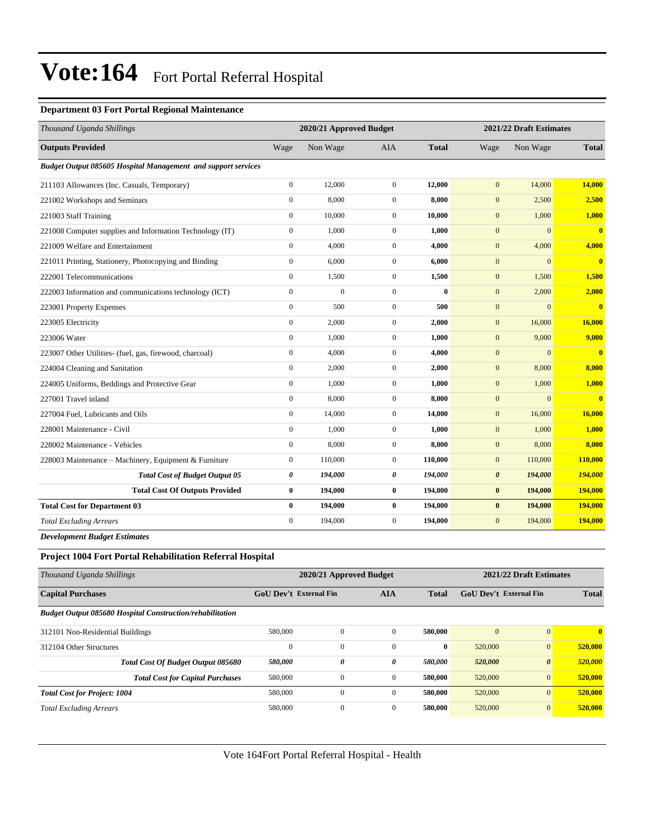#### **Department 03 Fort Portal Regional Maintenance**

| Thousand Uganda Shillings                                     |                  | 2020/21 Approved Budget |                  |              | 2021/22 Draft Estimates |              |              |
|---------------------------------------------------------------|------------------|-------------------------|------------------|--------------|-------------------------|--------------|--------------|
| <b>Outputs Provided</b>                                       | Wage             | Non Wage                | <b>AIA</b>       | <b>Total</b> | Wage                    | Non Wage     | <b>Total</b> |
| Budget Output 085605 Hospital Management and support services |                  |                         |                  |              |                         |              |              |
| 211103 Allowances (Inc. Casuals, Temporary)                   | $\overline{0}$   | 12,000                  | $\boldsymbol{0}$ | 12,000       | $\mathbf{0}$            | 14,000       | 14,000       |
| 221002 Workshops and Seminars                                 | $\overline{0}$   | 8,000                   | $\mathbf{0}$     | 8,000        | $\mathbf{0}$            | 2,500        | 2,500        |
| 221003 Staff Training                                         | $\overline{0}$   | 10.000                  | $\mathbf{0}$     | 10,000       | $\mathbf{0}$            | 1,000        | 1,000        |
| 221008 Computer supplies and Information Technology (IT)      | $\boldsymbol{0}$ | 1,000                   | $\boldsymbol{0}$ | 1,000        | $\mathbf{0}$            | $\mathbf{0}$ | $\bf{0}$     |
| 221009 Welfare and Entertainment                              | $\overline{0}$   | 4,000                   | $\mathbf{0}$     | 4,000        | $\mathbf{0}$            | 4,000        | 4,000        |
| 221011 Printing, Stationery, Photocopying and Binding         | $\boldsymbol{0}$ | 6,000                   | $\mathbf{0}$     | 6,000        | $\mathbf{0}$            | $\mathbf{0}$ | $\bf{0}$     |
| 222001 Telecommunications                                     | $\mathbf{0}$     | 1,500                   | $\boldsymbol{0}$ | 1,500        | $\mathbf{0}$            | 1,500        | 1,500        |
| 222003 Information and communications technology (ICT)        | $\overline{0}$   | $\overline{0}$          | $\mathbf{0}$     | $\mathbf{0}$ | $\mathbf{0}$            | 2,000        | 2,000        |
| 223001 Property Expenses                                      | $\overline{0}$   | 500                     | $\mathbf{0}$     | 500          | $\mathbf{0}$            | $\mathbf{0}$ | $\bf{0}$     |
| 223005 Electricity                                            | $\overline{0}$   | 2,000                   | $\boldsymbol{0}$ | 2,000        | $\mathbf{0}$            | 16,000       | 16,000       |
| 223006 Water                                                  | $\overline{0}$   | 1,000                   | $\mathbf{0}$     | 1,000        | $\mathbf{0}$            | 9,000        | 9,000        |
| 223007 Other Utilities- (fuel, gas, firewood, charcoal)       | $\overline{0}$   | 4,000                   | $\mathbf{0}$     | 4,000        | $\mathbf{0}$            | $\mathbf{0}$ | $\bf{0}$     |
| 224004 Cleaning and Sanitation                                | $\overline{0}$   | 2,000                   | $\mathbf{0}$     | 2,000        | $\mathbf{0}$            | 8,000        | 8,000        |
| 224005 Uniforms, Beddings and Protective Gear                 | $\mathbf{0}$     | 1,000                   | $\boldsymbol{0}$ | 1,000        | $\mathbf{0}$            | 1,000        | 1,000        |
| 227001 Travel inland                                          | $\overline{0}$   | 8,000                   | $\mathbf{0}$     | 8,000        | $\mathbf{0}$            | $\mathbf{0}$ | $\bf{0}$     |
| 227004 Fuel, Lubricants and Oils                              | $\overline{0}$   | 14,000                  | $\mathbf{0}$     | 14,000       | $\mathbf{0}$            | 16,000       | 16,000       |
| 228001 Maintenance - Civil                                    | $\overline{0}$   | 1,000                   | $\boldsymbol{0}$ | 1,000        | $\mathbf{0}$            | 1,000        | 1,000        |
| 228002 Maintenance - Vehicles                                 | $\overline{0}$   | 8,000                   | $\mathbf{0}$     | 8,000        | $\mathbf{0}$            | 8,000        | 8,000        |
| 228003 Maintenance - Machinery, Equipment & Furniture         | $\mathbf{0}$     | 110,000                 | $\mathbf{0}$     | 110,000      | $\mathbf{0}$            | 110,000      | 110,000      |
| <b>Total Cost of Budget Output 05</b>                         | 0                | 194,000                 | 0                | 194,000      | $\boldsymbol{\theta}$   | 194,000      | 194,000      |
| <b>Total Cost Of Outputs Provided</b>                         | $\bf{0}$         | 194,000                 | $\bf{0}$         | 194,000      | $\bf{0}$                | 194,000      | 194,000      |
| <b>Total Cost for Department 03</b>                           | $\bf{0}$         | 194,000                 | $\bf{0}$         | 194,000      | $\bf{0}$                | 194,000      | 194,000      |
| <b>Total Excluding Arrears</b>                                | $\mathbf{0}$     | 194,000                 | $\boldsymbol{0}$ | 194,000      | $\mathbf{0}$            | 194,000      | 194,000      |
| <b>Development Budget Estimates</b>                           |                  |                         |                  |              |                         |              |              |

**Project 1004 Fort Portal Rehabilitation Referral Hospital**

| Thousand Uganda Shillings                                        |                               | 2020/21 Approved Budget |              |              | 2021/22 Draft Estimates |                       |              |
|------------------------------------------------------------------|-------------------------------|-------------------------|--------------|--------------|-------------------------|-----------------------|--------------|
| <b>Capital Purchases</b>                                         | <b>GoU Dev't External Fin</b> |                         | <b>AIA</b>   | <b>Total</b> | GoU Dev't External Fin  |                       | <b>Total</b> |
| <b>Budget Output 085680 Hospital Construction/rehabilitation</b> |                               |                         |              |              |                         |                       |              |
| 312101 Non-Residential Buildings                                 | 580,000                       | $\mathbf{0}$            | $\mathbf{0}$ | 580,000      | $\overline{0}$          | $\Omega$              | $\mathbf{0}$ |
| 312104 Other Structures                                          | $\Omega$                      | $\mathbf{0}$            | $\mathbf{0}$ | $\bf{0}$     | 520,000                 | $\overline{0}$        | 520,000      |
| <b>Total Cost Of Budget Output 085680</b>                        | 580,000                       | $\boldsymbol{\theta}$   | 0            | 580,000      | 520,000                 | $\boldsymbol{\theta}$ | 520,000      |
| <b>Total Cost for Capital Purchases</b>                          | 580,000                       | $\theta$                | $\mathbf{0}$ | 580,000      | 520,000                 | $\overline{0}$        | 520,000      |
| <b>Total Cost for Project: 1004</b>                              | 580,000                       | $\theta$                | $\mathbf{0}$ | 580,000      | 520,000                 | $\overline{0}$        | 520,000      |
| <b>Total Excluding Arrears</b>                                   | 580,000                       | $\mathbf{0}$            | $\mathbf{0}$ | 580,000      | 520,000                 | $\overline{0}$        | 520,000      |